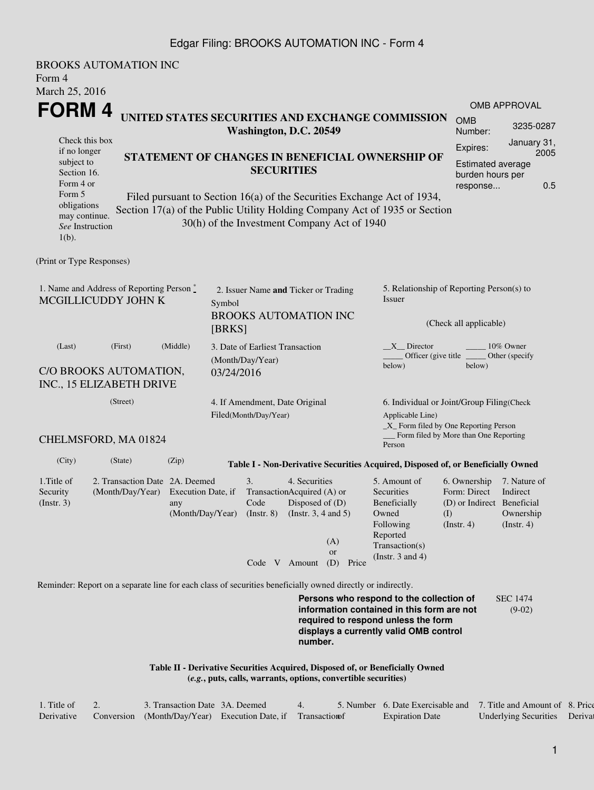## Edgar Filing: BROOKS AUTOMATION INC - Form 4

| <b>BROOKS AUTOMATION INC</b><br>Form 4<br>March 25, 2016                                                                                                                                                                                                                                                                                                       |                                                                                |                         |                                                                                                                                                           |                                                         |  |                                                                                                                                                                                                                                                                                    |                                                                                                     |                                                                                                                                                                         |                                                                                                                                |                                  |     |  |
|----------------------------------------------------------------------------------------------------------------------------------------------------------------------------------------------------------------------------------------------------------------------------------------------------------------------------------------------------------------|--------------------------------------------------------------------------------|-------------------------|-----------------------------------------------------------------------------------------------------------------------------------------------------------|---------------------------------------------------------|--|------------------------------------------------------------------------------------------------------------------------------------------------------------------------------------------------------------------------------------------------------------------------------------|-----------------------------------------------------------------------------------------------------|-------------------------------------------------------------------------------------------------------------------------------------------------------------------------|--------------------------------------------------------------------------------------------------------------------------------|----------------------------------|-----|--|
| FORM 4<br>Check this box<br>if no longer<br>subject to                                                                                                                                                                                                                                                                                                         |                                                                                |                         | Washington, D.C. 20549                                                                                                                                    |                                                         |  |                                                                                                                                                                                                                                                                                    | UNITED STATES SECURITIES AND EXCHANGE COMMISSION<br>STATEMENT OF CHANGES IN BENEFICIAL OWNERSHIP OF | <b>OMB</b><br>Number:<br>Expires:<br><b>Estimated average</b>                                                                                                           | <b>OMB APPROVAL</b>                                                                                                            | 3235-0287<br>January 31,<br>2005 |     |  |
| <b>SECURITIES</b><br>Section 16.<br>burden hours per<br>Form 4 or<br>response<br>Form 5<br>Filed pursuant to Section 16(a) of the Securities Exchange Act of 1934,<br>obligations<br>Section 17(a) of the Public Utility Holding Company Act of 1935 or Section<br>may continue.<br>30(h) of the Investment Company Act of 1940<br>See Instruction<br>$1(b)$ . |                                                                                |                         |                                                                                                                                                           |                                                         |  |                                                                                                                                                                                                                                                                                    |                                                                                                     |                                                                                                                                                                         |                                                                                                                                |                                  | 0.5 |  |
| (Print or Type Responses)                                                                                                                                                                                                                                                                                                                                      |                                                                                |                         |                                                                                                                                                           |                                                         |  |                                                                                                                                                                                                                                                                                    |                                                                                                     |                                                                                                                                                                         |                                                                                                                                |                                  |     |  |
| 1. Name and Address of Reporting Person $\stackrel{*}{\text{-}}$<br>MCGILLICUDDY JOHN K                                                                                                                                                                                                                                                                        | 2. Issuer Name and Ticker or Trading<br>Symbol<br><b>BROOKS AUTOMATION INC</b> |                         |                                                                                                                                                           |                                                         |  | 5. Relationship of Reporting Person(s) to<br>Issuer                                                                                                                                                                                                                                |                                                                                                     |                                                                                                                                                                         |                                                                                                                                |                                  |     |  |
|                                                                                                                                                                                                                                                                                                                                                                |                                                                                | [BRKS]                  |                                                                                                                                                           |                                                         |  |                                                                                                                                                                                                                                                                                    | (Check all applicable)                                                                              |                                                                                                                                                                         |                                                                                                                                |                                  |     |  |
| (Last)<br>(First)<br>C/O BROOKS AUTOMATION,<br>INC., 15 ELIZABETH DRIVE                                                                                                                                                                                                                                                                                        | 3. Date of Earliest Transaction<br>(Month/Day/Year)<br>03/24/2016              |                         |                                                                                                                                                           |                                                         |  | X Director<br>10% Owner<br>Officer (give title)<br>Other (specify<br>below)<br>below)                                                                                                                                                                                              |                                                                                                     |                                                                                                                                                                         |                                                                                                                                |                                  |     |  |
| (Street)                                                                                                                                                                                                                                                                                                                                                       |                                                                                |                         |                                                                                                                                                           | 4. If Amendment, Date Original<br>Filed(Month/Day/Year) |  |                                                                                                                                                                                                                                                                                    |                                                                                                     | Applicable Line)                                                                                                                                                        | 6. Individual or Joint/Group Filing(Check<br>$\_X$ Form filed by One Reporting Person<br>Form filed by More than One Reporting |                                  |     |  |
| CHELMSFORD, MA 01824                                                                                                                                                                                                                                                                                                                                           |                                                                                |                         |                                                                                                                                                           |                                                         |  |                                                                                                                                                                                                                                                                                    |                                                                                                     | Person                                                                                                                                                                  |                                                                                                                                |                                  |     |  |
| (City)                                                                                                                                                                                                                                                                                                                                                         | (State)                                                                        | (Zip)                   |                                                                                                                                                           |                                                         |  |                                                                                                                                                                                                                                                                                    |                                                                                                     | Table I - Non-Derivative Securities Acquired, Disposed of, or Beneficially Owned                                                                                        |                                                                                                                                |                                  |     |  |
| 1. Title of<br>Security<br>$($ Instr. 3 $)$                                                                                                                                                                                                                                                                                                                    | 2. Transaction Date 2A. Deemed<br>(Month/Day/Year) Execution Date, if          | any<br>(Month/Day/Year) | 4. Securities<br>3.<br>TransactionAcquired (A) or<br>Code<br>Disposed of (D)<br>$($ Instr. $8)$<br>(Instr. $3, 4$ and $5$ )<br>(A)<br>or<br>Code V Amount |                                                         |  | 5. Amount of<br>6. Ownership<br>7. Nature of<br>Form: Direct<br>Securities<br>Indirect<br>(D) or Indirect Beneficial<br>Beneficially<br>Owned<br>Ownership<br>$\rm(D)$<br>Following<br>$($ Instr. 4 $)$<br>$($ Instr. 4 $)$<br>Reported<br>Transaction(s)<br>(Instr. $3$ and $4$ ) |                                                                                                     |                                                                                                                                                                         |                                                                                                                                |                                  |     |  |
|                                                                                                                                                                                                                                                                                                                                                                |                                                                                |                         |                                                                                                                                                           |                                                         |  | (D)                                                                                                                                                                                                                                                                                | Price                                                                                               |                                                                                                                                                                         |                                                                                                                                |                                  |     |  |
| Reminder: Report on a separate line for each class of securities beneficially owned directly or indirectly.                                                                                                                                                                                                                                                    |                                                                                |                         |                                                                                                                                                           |                                                         |  | number.                                                                                                                                                                                                                                                                            |                                                                                                     | Persons who respond to the collection of<br>information contained in this form are not<br>required to respond unless the form<br>displays a currently valid OMB control |                                                                                                                                | <b>SEC 1474</b><br>$(9-02)$      |     |  |

**Table II - Derivative Securities Acquired, Disposed of, or Beneficially Owned (***e.g.***, puts, calls, warrants, options, convertible securities)**

| 1. Title of | 3. Transaction Date 3A. Deemed                                |  | 5. Number 6. Date Exercisable and 7. Title and Amount of 8. Price |                               |  |
|-------------|---------------------------------------------------------------|--|-------------------------------------------------------------------|-------------------------------|--|
| Derivative  | Conversion (Month/Day/Year) Execution Date, if Transaction of |  | <b>Expiration Date</b>                                            | Underlying Securities Derival |  |